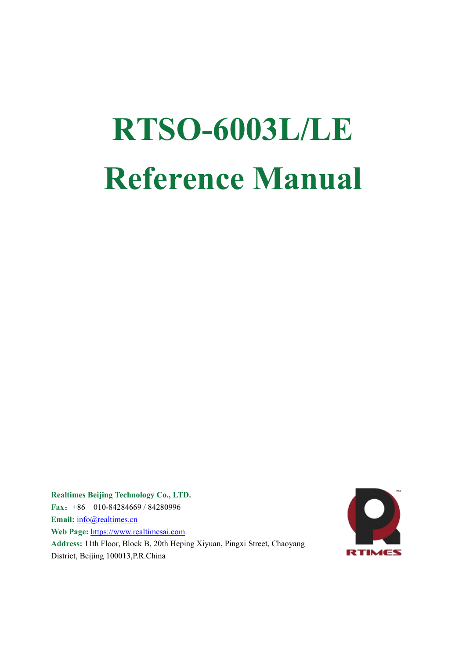# **RTSO-6003L/LE Reference Manual**

**Realtimes Beijing Technology Co., LTD. Fax**:+86 010-84284669 / 84280996 **Email:** [info@realtimes.cn](mailto:info@realtimes.cn) **Web Page:** [https://www.realtimesai.com](http://www.realtimes.cn) Address: 11th Floor, Block B, 20th Heping Xiyuan, Pingxi Street, Chaoyang District, Beijing 100013,P.R.China

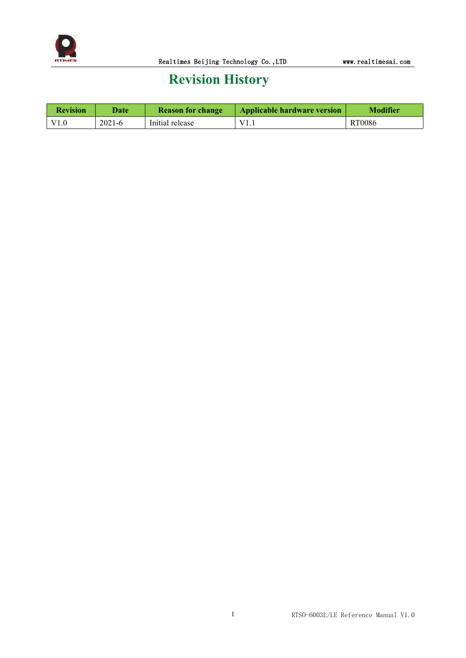

## **Revision History**

| <b>Revision</b> | Date   | <b>Reason for change</b> | Applicable hardware version | <b>Modifier</b> |
|-----------------|--------|--------------------------|-----------------------------|-----------------|
|                 | 2021-6 | Initial release          | V <sub>1</sub><br>-1.1      | <b>RT0086</b>   |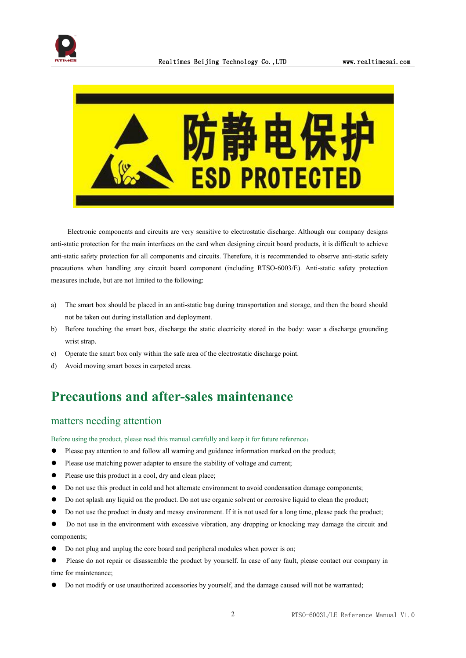



Electronic components and circuits are very sensitive to electrostatic discharge. Although our company designs anti-static protection for the main interfaces on the card when designing circuit board products, it is difficult to achieve anti-static safety protection for all components and circuits. Therefore, it is recommended to observe anti-static safety precautions when handling any circuit board component (including RTSO-6003/E). Anti-static safety protection measures include, but are not limited to the following:

- a) The smart box should be placed in an anti-static bag during transportation and storage, and then the board should not be taken out during installation and deployment.
- b) Before touching the smart box, discharge the static electricity stored in the body: wear a discharge grounding wrist strap.
- c) Operate the smart box only within the safe area of the electrostatic discharge point.
- d) Avoid moving smart boxes in carpeted areas.

## **Precautions and after-sales maintenance**

#### matters needing attention

Before using the product, please read this manual carefully and keep it for future reference:

- ⚫ Please pay attention to and follow all warning and guidance information marked on the product;
- Please use matching power adapter to ensure the stability of voltage and current;
- Please use this product in a cool, dry and clean place;
- ⚫ Do not use this product in cold and hot alternate environment to avoid condensation damage components;
- Do not splash any liquid on the product. Do not use organic solvent or corrosive liquid to clean the product;
- ⚫ Do not use the product in dusty and messy environment. If it is not used for a long time, please pack the product;
- ⚫ Do not use in the environment with excessive vibration, any dropping or knocking may damage the circuit and components;
- ⚫ Do not plug and unplug the core board and peripheral modules when power is on;
- Please do not repair or disassemble the product by yourself. In case of any fault, please contact our company in time for maintenance;
- ⚫ Do not modify or use unauthorized accessories by yourself, and the damage caused will not be warranted;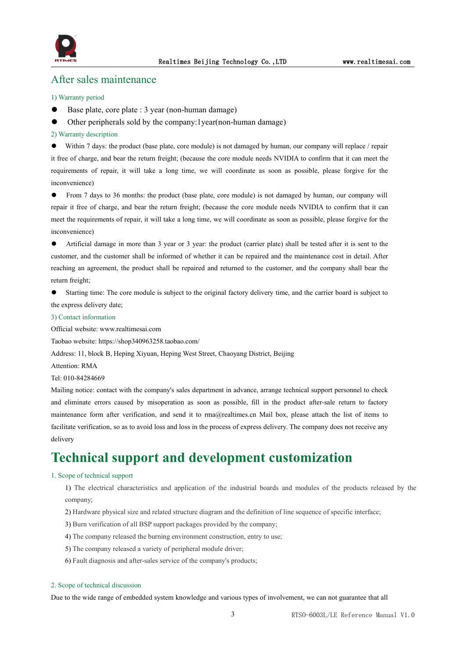

### After sales maintenance

#### 1) Warranty period

- Base plate, core plate : 3 year (non-human damage)
- ⚫ Other peripherals sold by the company:1year(non-human damage)
- 2) Warranty description

⚫ Within 7 days: the product (base plate, core module) is not damaged by human, our company will replace / repair it free of charge, and bear the return freight; (because the core module needs NVIDIA to confirm that it can meet the requirements of repair, it will take a long time, we will coordinate as soon as possible, please forgive for the inconvenience)

● From 7 days to 36 months: the product (base plate, core module) is not damaged by human, our company will repair it free of charge, and bear the return freight; (because the core module needs NVIDIA to confirm that it can meet the requirements of repair, it will take a long time, we will coordinate as soon as possible, please forgive for the inconvenience)

⚫ Artificial damage in more than 3 year or3 year: the product (carrier plate) shall be tested after it is sent to the customer, and the customer shall be informed of whether it can be repaired and the maintenance cost in detail. After reaching an agreement, the product shall be repaired and returned to the customer, and the company shall bear the return freight;

⚫ Starting time: The core module is subject to the original factory delivery time, and the carrier board is subject to the express delivery date;

#### 3) Contact information

Official website: www.realtimesai.com

Taobao website: https://shop340963258.taobao.com/

Address: 11, block B, Heping Xiyuan, Heping West Street, Chaoyang District, Beijing

Attention: RMA

Tel: 010-84284669

Mailing notice: contact with the company's sales department in advance, arrange technical support personnel to check and eliminate errors caused by misoperation as soon as possible, fill in the product after-sale return to factory maintenance form after verification, and send it to rma@realtimes.cn Mail box, please attach the list of items to facilitate verification, so as to avoid loss and loss in the process of express delivery. The company does not receive any delivery

## **Technical support and development customization**

#### 1. Scope of technical support

1) The electrical characteristics and application of the industrial boards and modules of the products released by the company;

- 2) Hardware physical size and related structure diagram and the definition ofline sequence of specific interface;
- 3) Burn verification of all BSP support packages provided by the company;
- 4) The company released the burning environment construction, entry to use;
- 5) The company released a variety of peripheral module driver;
- 6) Fault diagnosis and after-sales service of the company's products;

#### 2. Scope of technical discussion

Due to the wide range of embedded system knowledge and various types of involvement, we can notguarantee that all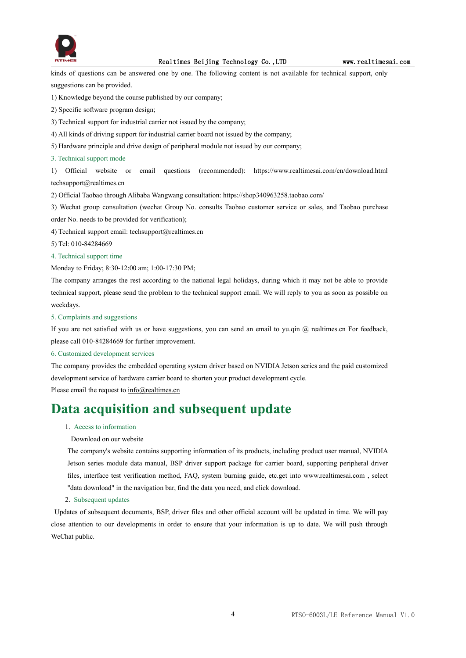

kinds of questions can be answered one by one. The following content is not available for technical support, only suggestions can be provided.

1) Knowledge beyond the course published by our company;

2) Specific software program design;

3) Technical support for industrial carrier not issued by the company;

- 4) All kinds of driving support for industrial carrier board not issued by the company;
- 5) Hardware principle and drive design of peripheral module not issued by our company;

3. Technical support mode

1) Official website oremail questions (recommended): https://www.realtimesai.com/cn/download.html techsupport@realtimes.cn

2) Official Taobao through Alibaba Wangwang consultation: https://shop340963258.taobao.com/

3) Wechat group consultation (wechat Group No. consults Taobao customer service or sales, and Taobao purchase order No. needs to be provided for verification);

- 4) Technical support email: techsupport@realtimes.cn
- 5) Tel: 010-84284669

#### 4. Technical support time

Monday to Friday; 8:30-12:00 am; 1:00-17:30 PM;

The company arranges the rest according to the national legal holidays, during which it may not be able to provide technical support, please send the problem to the technical support email. We will reply to you as soon as possible on weekdays.

#### 5. Complaints and suggestions

If you are not satisfied with us or have suggestions, you can send an email to yu.qin @ realtimes.cn For feedback, please call 010-84284669 for further improvement.

#### 6. Customized development services

The company provides the embedded operating system driver based on NVIDIA Jetson series and the paid customized development service of hardware carrier board to shorten your product development cycle.

Please email the request to  $info@realtimes.cn$ 

## **Data acquisition and subsequent update**

#### 1. Access to information

#### Download on our website

The company's website contains supporting information of its products, including product user manual, NVIDIA Jetson series module data manual, BSP driver support package for carrier board, supporting peripheral driver files, interface test verification method, FAQ, system burning guide, etc.get into www.realtimesai.com , select "data download" in the navigation bar, find the data you need, and click download.

#### 2. Subsequent updates

Updates of subsequent documents, BSP, driver files and other official account will be updated in time. We will pay close attention to our developments in order to ensure that your information is up to date. We will push through WeChat public.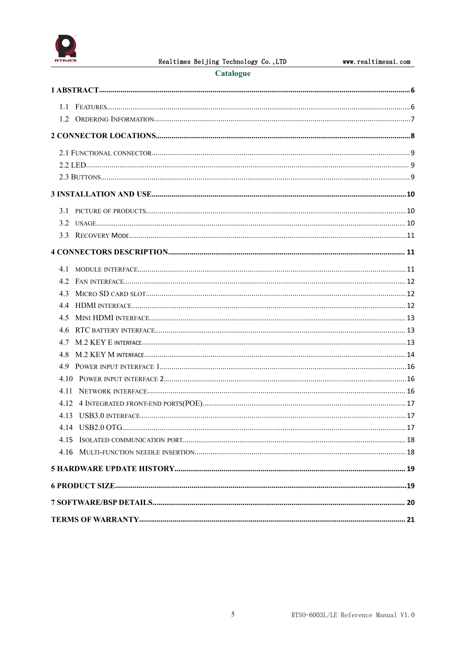

#### Catalogue

| 4.5  |  |
|------|--|
|      |  |
|      |  |
|      |  |
|      |  |
|      |  |
| 4.11 |  |
|      |  |
|      |  |
|      |  |
|      |  |
|      |  |
|      |  |
|      |  |
|      |  |
|      |  |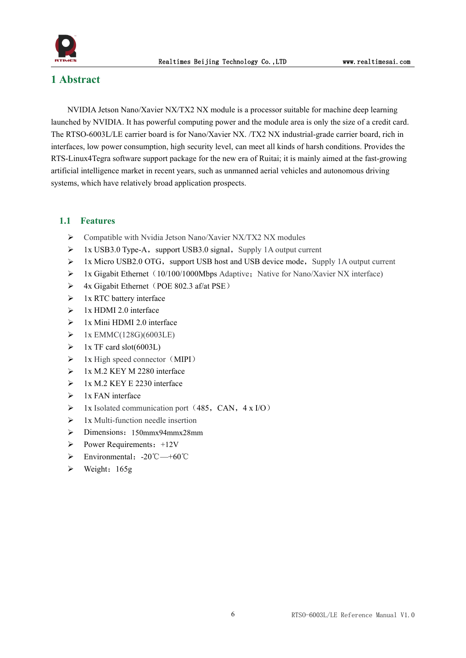

## <span id="page-6-0"></span>**1 Abstract**

NVIDIA Jetson Nano/Xavier NX/TX2 NX module is a processor suitable for machine deep learning launched by NVIDIA. It has powerful computing power and the module area is only the size of a credit card. The RTSO-6003L/LE carrier board is for Nano/Xavier NX. /TX2 NX industrial-grade carrier board, rich in interfaces, low power consumption, high security level, can meet all kinds of harsh conditions. Provides the RTS-Linux4Tegra software support package for the new era of Ruitai; it is mainly aimed at the fast-growing artificial intelligence market in recent years, such as unmanned aerial vehicles and autonomous driving systems, which have relatively broad application prospects.

#### <span id="page-6-1"></span>**1.1 Features**

- $\triangleright$  Compatible with Nvidia Jetson Nano/Xavier NX/TX2 NX modules
- $\triangleright$  1x USB3.0 Type-A, support USB3.0 signal, Supply 1A output current
- $\geq 1x$  Micro USB2.0 OTG, support USB host and USB device mode, Supply 1A output current
- $\triangleright$  1x Gigabit Ethernet (10/100/1000Mbps Adaptive; Native for Nano/Xavier NX interface)
- $\triangleright$  4x Gigabit Ethernet (POE 802.3 af/at PSE)
- $\triangleright$  1x RTC battery interface
- $\geq 1x$  HDMI 2.0 interface
- $\geq$  1x Mini HDMI 2.0 interface
- $\triangleright$  1x EMMC(128G)(6003LE)
- $\triangleright$  1x TF card slot(6003L)
- $\triangleright$  1x High speed connector (MIPI)
- $\geq$  1x M.2 KEY M 2280 interface
- $\geq$  1x M.2 KEY E 2230 interface
- $\triangleright$  1x FAN interface
- $\triangleright$  1x Isolated communication port (485, CAN, 4 x I/O)
- $\geq 1x$  Multi-function needle insertion
- $\triangleright$  Dimensions: 150mmx94mmx28mm
- $\triangleright$  Power Requirements: +12V
- Environmental:-20℃—+60℃
- $\triangleright$  Weight: 165g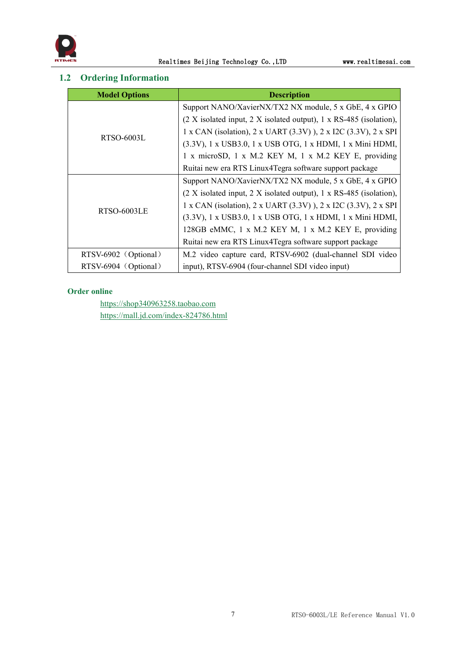

## <span id="page-7-0"></span>**1.2 Ordering Information**

| <b>Model Options</b> | <b>Description</b>                                                   |  |  |  |
|----------------------|----------------------------------------------------------------------|--|--|--|
|                      | Support NANO/XavierNX/TX2 NX module, 5 x GbE, 4 x GPIO               |  |  |  |
|                      | $(2 X isolated input, 2 X isolated output), 1 x RS-485 (isolation),$ |  |  |  |
| <b>RTSO-6003L</b>    | 1 x CAN (isolation), 2 x UART (3.3V)), 2 x I2C (3.3V), 2 x SPI       |  |  |  |
|                      | (3.3V), 1 x USB3.0, 1 x USB OTG, 1 x HDMI, 1 x Mini HDMI,            |  |  |  |
|                      | 1 x microSD, 1 x M.2 KEY M, 1 x M.2 KEY E, providing                 |  |  |  |
|                      | Ruitai new era RTS Linux4Tegra software support package              |  |  |  |
|                      | Support NANO/XavierNX/TX2 NX module, 5 x GbE, 4 x GPIO               |  |  |  |
|                      | $(2 X isolated input, 2 X isolated output), 1 x RS-485 (isolation),$ |  |  |  |
|                      | 1 x CAN (isolation), 2 x UART (3.3V)), 2 x I2C (3.3V), 2 x SPI       |  |  |  |
| RTSO-6003LE          | (3.3V), 1 x USB3.0, 1 x USB OTG, 1 x HDMI, 1 x Mini HDMI,            |  |  |  |
|                      | 128GB eMMC, 1 x M.2 KEY M, 1 x M.2 KEY E, providing                  |  |  |  |
|                      | Ruitai new era RTS Linux4Tegra software support package              |  |  |  |
| RTSV-6902 (Optional) | M.2 video capture card, RTSV-6902 (dual-channel SDI video            |  |  |  |
| RTSV-6904 (Optional) | input), RTSV-6904 (four-channel SDI video input)                     |  |  |  |

#### **Order online**

<https://shop340963258.taobao.com> <https://mall.jd.com/index-824786.html>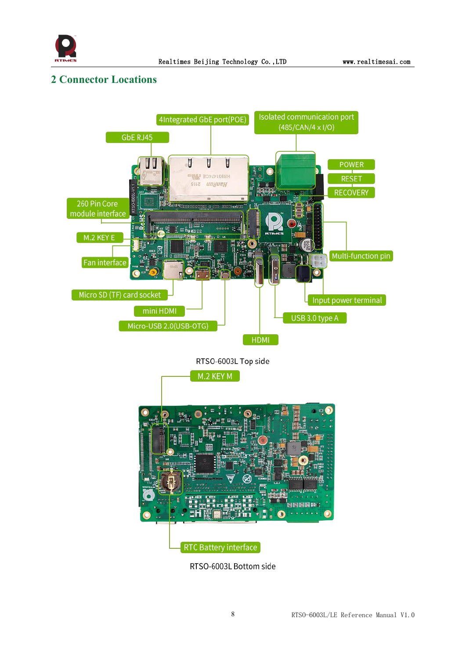

## <span id="page-8-0"></span>**2 Connector Locations**



RTSO-6003L Bottom side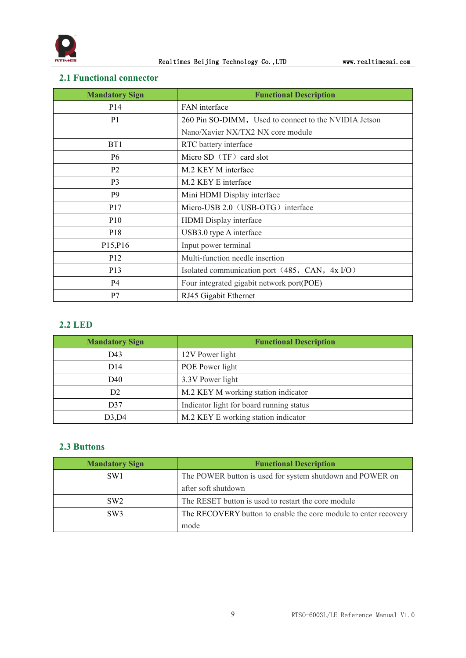

## <span id="page-9-0"></span>**2.1 Functional connector**

| <b>Mandatory Sign</b>             | <b>Functional Description</b>                         |
|-----------------------------------|-------------------------------------------------------|
| P <sub>14</sub>                   | FAN interface                                         |
| P <sub>1</sub>                    | 260 Pin SO-DIMM, Used to connect to the NVIDIA Jetson |
|                                   | Nano/Xavier NX/TX2 NX core module                     |
| B <sub>T1</sub>                   | RTC battery interface                                 |
| P <sub>6</sub>                    | Micro SD (TF) card slot                               |
| P <sub>2</sub>                    | M.2 KEY M interface                                   |
| P <sub>3</sub>                    | M.2 KEY E interface                                   |
| P <sub>9</sub>                    | Mini HDMI Display interface                           |
| P <sub>17</sub>                   | Micro-USB 2.0 (USB-OTG) interface                     |
| P <sub>10</sub>                   | HDMI Display interface                                |
| P <sub>18</sub>                   | USB3.0 type A interface                               |
| P <sub>15</sub> , P <sub>16</sub> | Input power terminal                                  |
| P <sub>12</sub>                   | Multi-function needle insertion                       |
| P <sub>13</sub>                   | Isolated communication port (485, CAN, 4x I/O)        |
| P4                                | Four integrated gigabit network port(POE)             |
| P7                                | RJ45 Gigabit Ethernet                                 |

## <span id="page-9-1"></span>**2.2 LED**

| <b>Mandatory Sign</b> | <b>Functional Description</b>            |
|-----------------------|------------------------------------------|
| D43                   | 12V Power light                          |
| D14                   | POE Power light                          |
| D40                   | 3.3V Power light                         |
| D <sub>2</sub>        | M.2 KEY M working station indicator      |
| D37                   | Indicator light for board running status |
| D3,D4                 | M.2 KEY E working station indicator      |

## <span id="page-9-2"></span>**2.3 Buttons**

| <b>Mandatory Sign</b> | <b>Functional Description</b>                                   |  |  |  |
|-----------------------|-----------------------------------------------------------------|--|--|--|
| SW <sub>1</sub>       | The POWER button is used for system shutdown and POWER on       |  |  |  |
|                       | after soft shutdown                                             |  |  |  |
| SW2                   | The RESET button is used to restart the core module             |  |  |  |
| SW <sub>3</sub>       | The RECOVERY button to enable the core module to enter recovery |  |  |  |
|                       | mode                                                            |  |  |  |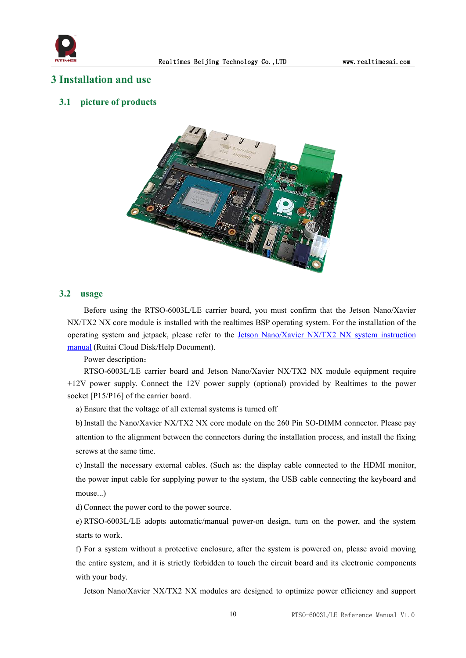

#### <span id="page-10-0"></span>**3 Installation and use**

#### <span id="page-10-1"></span>**3.1 picture of products**



#### <span id="page-10-2"></span>**3.2 usage**

Before using the RTSO-6003L/LE carrier board, you must confirm that the Jetson Nano/Xavier NX/TX2 NX core module is installed with the realtimes BSP operating system. For the installation of the operating system and jetpack, please refer to the Jetson [Nano/Xavier](https://www.realtimesai.com/en/help.html) NX/TX2 NX system instruction manual (Ruitai Cloud Disk/Help Document).

Power description:

RTSO-6003L/LE carrier board and Jetson Nano/Xavier NX/TX2 NX module equipment require +12V power supply. Connect the 12V power supply (optional) provided by Realtimes to the power socket [P15/P16] of the carrier board.

a) Ensure that the voltage of all external systems is turned off

b) Install the Nano/Xavier NX/TX2 NX core module on the 260 Pin SO-DIMM connector. Please pay attention to the alignment between the connectors during the installation process, and install the fixing screws at the same time.

c) Install the necessary external cables. (Such as: the display cable connected to the HDMI monitor, the power input cable for supplying power to the system, the USB cable connecting the keyboard and mouse...)

d)Connect the power cord to the power source.

e) RTSO-6003L/LE adopts automatic/manual power-on design, turn on the power, and the system starts to work.

f) For a system without a protective enclosure, after the system is powered on, please avoid moving the entire system, and it is strictly forbidden to touch the circuit board and its electronic components with your body.

Jetson Nano/Xavier NX/TX2 NX modules are designed to optimize power efficiency and support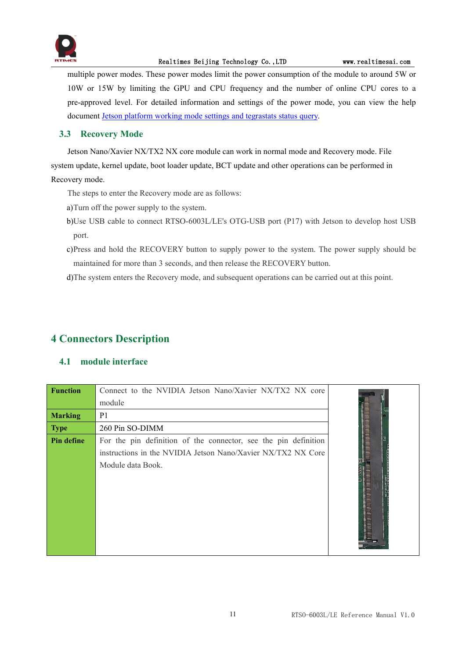

#### Realtimes Beijing Technology Co., LTD www.realtimesai.com

multiple power modes. These power modes limit the power consumption of the module to around 5W or 10W or 15W by limiting the GPU and CPU frequency and the number of online CPU cores to a pre-approved level. For detailed information and settings of the power mode, you can view the help document Jetson platform working mode settings and [tegrastats](http://yun.realtimes.cn/) status query.

#### <span id="page-11-0"></span>**3.3 Recovery Mode**

Jetson Nano/Xavier NX/TX2 NX core module can work in normal mode and Recovery mode. File system update, kernel update, boot loader update, BCT update and other operations can be performed in Recovery mode.

- The steps to enter the Recovery mode are as follows:
- 
- a)Turn off the power supply to the system.<br>b)Use USB cable to connect RTSO-6003L/LE's OTG-USB port (P17) with Jetson to develop host USB port.
- c)Press and hold the RECOVERY button to supply power to the system. The power supply should be maintained for more than 3 seconds, and then release the RECOVERY button.

d)The system enters the Recovery mode, and subsequent operations can be carried out at this point.

## <span id="page-11-1"></span>**4 Connectors Description**

#### <span id="page-11-2"></span>**4.1 module interface**

| <b>Function</b> | Connect to the NVIDIA Jetson Nano/Xavier NX/TX2 NX core         |  |
|-----------------|-----------------------------------------------------------------|--|
|                 | module                                                          |  |
| <b>Marking</b>  | P <sub>1</sub>                                                  |  |
| <b>Type</b>     | 260 Pin SO-DIMM                                                 |  |
| Pin define      | For the pin definition of the connector, see the pin definition |  |
|                 | instructions in the NVIDIA Jetson Nano/Xavier NX/TX2 NX Core    |  |
|                 | Module data Book.                                               |  |
|                 |                                                                 |  |
|                 |                                                                 |  |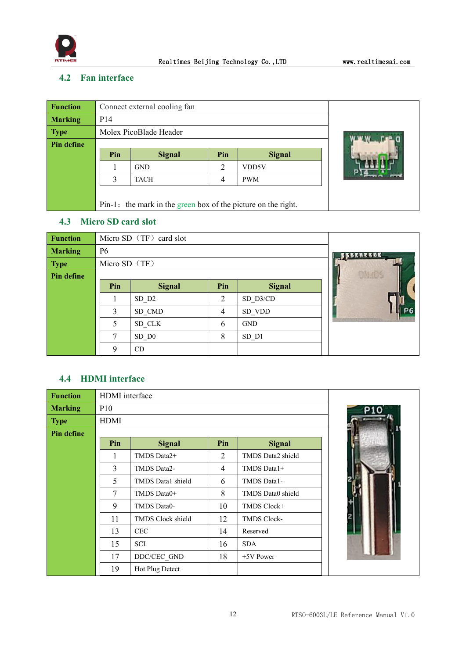

## <span id="page-12-0"></span>**4.2 Fan interface**

| <b>Function</b> |                 | Connect external cooling fan                                  |     |               |  |  |  |  |
|-----------------|-----------------|---------------------------------------------------------------|-----|---------------|--|--|--|--|
| <b>Marking</b>  | P <sub>14</sub> |                                                               |     |               |  |  |  |  |
| <b>Type</b>     |                 | Molex PicoBlade Header                                        |     |               |  |  |  |  |
| Pin define      |                 |                                                               |     |               |  |  |  |  |
|                 | Pin             | <b>Signal</b>                                                 | Pin | <b>Signal</b> |  |  |  |  |
|                 |                 | <b>GND</b>                                                    | 2   | VDD5V         |  |  |  |  |
|                 | 3               | <b>TACH</b>                                                   |     |               |  |  |  |  |
|                 |                 |                                                               |     |               |  |  |  |  |
|                 |                 | Pin-1: the mark in the green box of the picture on the right. |     |               |  |  |  |  |

## <span id="page-12-1"></span>**4.3 Micro SD card slot**

| <b>Function</b>   |                | Micro SD (TF) card slot |                |               |  |
|-------------------|----------------|-------------------------|----------------|---------------|--|
| <b>Marking</b>    | P <sub>6</sub> |                         |                |               |  |
| <b>Type</b>       | Micro SD (TF)  |                         |                |               |  |
| <b>Pin define</b> |                |                         | <b>DNADS</b>   |               |  |
|                   | Pin            | <b>Signal</b>           | Pin            | <b>Signal</b> |  |
|                   |                | SD D2                   | $\overline{2}$ | SD D3/CD      |  |
|                   | 3              | SD CMD                  | 4              | SD VDD        |  |
|                   | 5              | SD CLK                  | 6              | <b>GND</b>    |  |
|                   | ⇁              | $\mathrm{SD}$ D0        | 8              | $SD_$ 1       |  |
|                   | 9              | CD                      |                |               |  |

## <span id="page-12-2"></span>**4.4 HDMI interface**

| <b>Function</b> | HDMI interface |                   |                |                    |  |
|-----------------|----------------|-------------------|----------------|--------------------|--|
| <b>Marking</b>  | P10            |                   |                |                    |  |
| <b>Type</b>     | <b>HDMI</b>    |                   |                |                    |  |
| Pin define      |                |                   |                |                    |  |
|                 | Pin            | <b>Signal</b>     | Pin            | <b>Signal</b>      |  |
|                 |                | TMDS Data2+       | 2              | TMDS Data2 shield  |  |
|                 | 3              | TMDS Data2-       | $\overline{4}$ | TMDS Data1+        |  |
|                 | 5              | TMDS Data1 shield | 6              | TMDS Data1-        |  |
|                 | 7              | TMDS Data0+       | 8              | TMDS Data0 shield  |  |
|                 | 9              | TMDS Data0-       | 10             | TMDS Clock+        |  |
|                 | 11             | TMDS Clock shield | 12             | <b>TMDS Clock-</b> |  |
|                 | 13             | <b>CEC</b>        | 14             | Reserved           |  |
|                 | 15             | <b>SCL</b>        | 16             | <b>SDA</b>         |  |
|                 | 17             | DDC/CEC GND       | 18             | $+5V$ Power        |  |
|                 | 19             | Hot Plug Detect   |                |                    |  |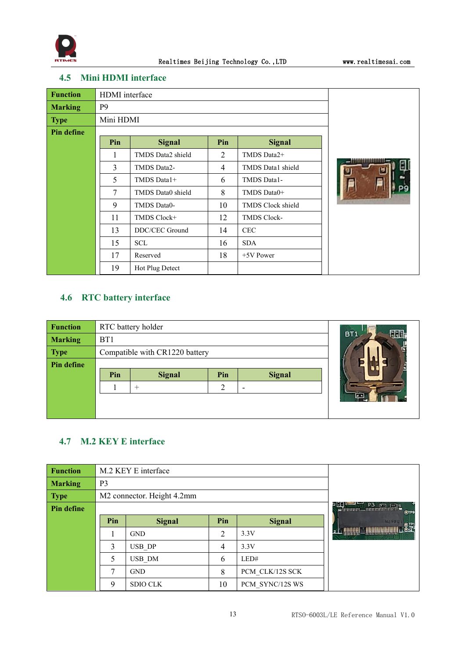

## <span id="page-13-0"></span>**4.5 Mini HDMI interface**

| <b>Function</b>   | HDMI interface |                   |                |                    |  |
|-------------------|----------------|-------------------|----------------|--------------------|--|
| <b>Marking</b>    | P <sub>9</sub> |                   |                |                    |  |
| <b>Type</b>       | Mini HDMI      |                   |                |                    |  |
| <b>Pin define</b> |                |                   |                |                    |  |
|                   | Pin            | <b>Signal</b>     | Pin            | <b>Signal</b>      |  |
|                   | 1              | TMDS Data2 shield | 2              | TMDS Data2+        |  |
|                   | 3              | TMDS Data2-       | $\overline{4}$ | TMDS Data1 shield  |  |
|                   | 5              | TMDS Data1+       | 6              | TMDS Data1-        |  |
|                   | $\tau$         | TMDS Data0 shield | 8              | TMDS Data0+        |  |
|                   | 9              | TMDS Data0-       | 10             | TMDS Clock shield  |  |
|                   | 11             | TMDS Clock+       | 12             | <b>TMDS Clock-</b> |  |
|                   | 13             | DDC/CEC Ground    | 14             | <b>CEC</b>         |  |
|                   | 15             | <b>SCL</b>        | 16             | <b>SDA</b>         |  |
|                   | 17             | Reserved          | 18             | $+5V$ Power        |  |
|                   | 19             | Hot Plug Detect   |                |                    |  |

## <span id="page-13-1"></span>**4.6 RTC battery interface**

| <b>Function</b> |                 | RTC battery holder             | BT <sub>1</sub> |  |  |
|-----------------|-----------------|--------------------------------|-----------------|--|--|
| <b>Marking</b>  | B <sub>T1</sub> |                                |                 |  |  |
| <b>Type</b>     |                 | Compatible with CR1220 battery | Ξ               |  |  |
| Pin define      |                 |                                |                 |  |  |
|                 | Pin             | <b>Signal</b>                  |                 |  |  |
|                 |                 | $^+$                           |                 |  |  |
|                 |                 |                                | ш               |  |  |
|                 |                 |                                |                 |  |  |

## <span id="page-13-2"></span>**4.7 M.2 KEY E interface**

| <b>Function</b> |                | M.2 KEY E interface                    |     |                 |                                                                                                                                                                                                                                                                                                                                                                                                                                                                                                                                                            |  |  |
|-----------------|----------------|----------------------------------------|-----|-----------------|------------------------------------------------------------------------------------------------------------------------------------------------------------------------------------------------------------------------------------------------------------------------------------------------------------------------------------------------------------------------------------------------------------------------------------------------------------------------------------------------------------------------------------------------------------|--|--|
| <b>Marking</b>  | P <sub>3</sub> |                                        |     |                 |                                                                                                                                                                                                                                                                                                                                                                                                                                                                                                                                                            |  |  |
| <b>Type</b>     |                | M2 connector. Height 4.2mm             |     |                 |                                                                                                                                                                                                                                                                                                                                                                                                                                                                                                                                                            |  |  |
| Pin define      |                | $P3 \nightharpoonup P3$<br><b>OTPS</b> |     |                 |                                                                                                                                                                                                                                                                                                                                                                                                                                                                                                                                                            |  |  |
|                 | Pin            | <b>Signal</b>                          | Pin | <b>Signal</b>   | <b>NZ OPEL</b><br>$O$ TP!                                                                                                                                                                                                                                                                                                                                                                                                                                                                                                                                  |  |  |
|                 |                | <b>GND</b>                             | 2   | 3.3V            | $\textcolor{red}{\textbf{-}}\textcolor{blue}{\textbf{1}}\textcolor{blue}{\textbf{1}}\textcolor{blue}{\textbf{1}}\textcolor{blue}{\textbf{1}}\textcolor{blue}{\textbf{1}}\textcolor{blue}{\textbf{-}}\textcolor{blue}{\textbf{-}}\textcolor{blue}{\textbf{1}}\textcolor{blue}{\textbf{1}}\textcolor{blue}{\textbf{1}}\textcolor{blue}{\textbf{1}}\textcolor{blue}{\textbf{1}}\textcolor{blue}{\textbf{1}}\textcolor{blue}{\textbf{-}}\textcolor{blue}{\textbf{-}}\textcolor{blue}{\textbf{-}}\textcolor{blue}{\textbf{-}}\textcolor{blue}{\textbf{-}}$<br>2 |  |  |
|                 | 3              | USB DP                                 | 4   | 3.3V            |                                                                                                                                                                                                                                                                                                                                                                                                                                                                                                                                                            |  |  |
|                 | 5              | USB DM                                 | 6   | LED#            |                                                                                                                                                                                                                                                                                                                                                                                                                                                                                                                                                            |  |  |
|                 |                | <b>GND</b>                             | 8   | PCM CLK/12S SCK |                                                                                                                                                                                                                                                                                                                                                                                                                                                                                                                                                            |  |  |
|                 | 9              | <b>SDIO CLK</b>                        | 10  | PCM SYNC/12S WS |                                                                                                                                                                                                                                                                                                                                                                                                                                                                                                                                                            |  |  |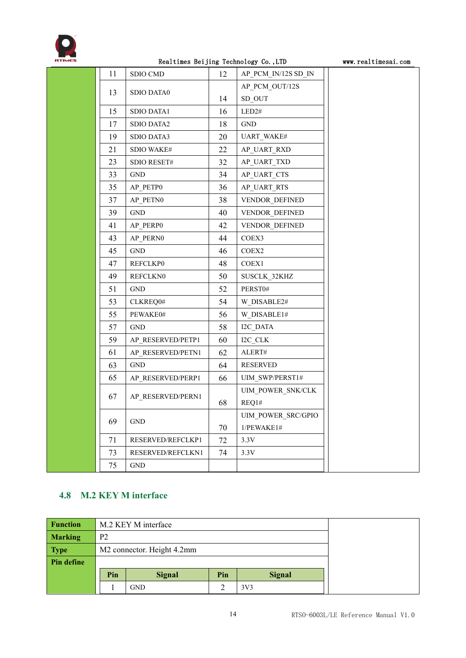

#### Realtimes Beijing Technology Co., LTD www.realtimesai.com

|    |                   | ------- ---------- |                     |  |
|----|-------------------|--------------------|---------------------|--|
| 11 | SDIO CMD          | 12                 | AP_PCM_IN/12S SD_IN |  |
|    |                   |                    | AP PCM OUT/12S      |  |
| 13 | <b>SDIO DATA0</b> | 14                 | $SD_OUT$            |  |
| 15 | SDIO DATA1        | 16                 | LED2#               |  |
| 17 | SDIO DATA2        | 18                 | GND                 |  |
| 19 | SDIO DATA3        | 20                 | UART_WAKE#          |  |
| 21 | SDIO WAKE#        | 22                 | AP_UART_RXD         |  |
| 23 | SDIO RESET#       | 32                 | AP_UART_TXD         |  |
| 33 | <b>GND</b>        | 34                 | AP_UART_CTS         |  |
| 35 | AP_PETP0          | 36                 | AP_UART_RTS         |  |
| 37 | AP_PETN0          | 38                 | VENDOR DEFINED      |  |
| 39 | GND               | 40                 | VENDOR DEFINED      |  |
| 41 | AP_PERP0          | 42                 | VENDOR DEFINED      |  |
| 43 | AP PERN0          | 44                 | COEX3               |  |
| 45 | <b>GND</b>        | 46                 | COEX <sub>2</sub>   |  |
| 47 | <b>REFCLKP0</b>   | 48                 | COEX1               |  |
| 49 | <b>REFCLKN0</b>   | 50                 | SUSCLK_32KHZ        |  |
| 51 | GND               | 52                 | PERST0#             |  |
| 53 | CLKREQ0#          | 54                 | W_DISABLE2#         |  |
| 55 | PEWAKE0#          | 56                 | W DISABLE1#         |  |
| 57 | <b>GND</b>        | 58                 | I2C_DATA            |  |
| 59 | AP_RESERVED/PETP1 | 60                 | I2C_CLK             |  |
| 61 | AP RESERVED/PETN1 | 62                 | ${\sf ALERT\#}$     |  |
| 63 | GND               | 64                 | <b>RESERVED</b>     |  |
| 65 | AP RESERVED/PERP1 | 66                 | UIM_SWP/PERST1#     |  |
| 67 | AP RESERVED/PERN1 |                    | UIM POWER SNK/CLK   |  |
|    |                   | 68                 | REQ1#               |  |
| 69 | <b>GND</b>        |                    | UIM_POWER_SRC/GPIO  |  |
|    |                   | 70                 | 1/PEWAKE1#          |  |
| 71 | RESERVED/REFCLKP1 | 72                 | 3.3V                |  |
| 73 | RESERVED/REFCLKN1 | 74                 | 3.3V                |  |
| 75 | GND               |                    |                     |  |

## <span id="page-14-0"></span>**4.8 M.2 KEY M interface**

| <b>Function</b> | M.2 KEY M interface |                            |     |                 |  |
|-----------------|---------------------|----------------------------|-----|-----------------|--|
| <b>Marking</b>  | P <sub>2</sub>      |                            |     |                 |  |
| <b>Type</b>     |                     | M2 connector. Height 4.2mm |     |                 |  |
| Pin define      |                     |                            |     |                 |  |
|                 | Pin                 | <b>Signal</b>              | Pin | <b>Signal</b>   |  |
|                 |                     | <b>GND</b>                 |     | 3V <sub>3</sub> |  |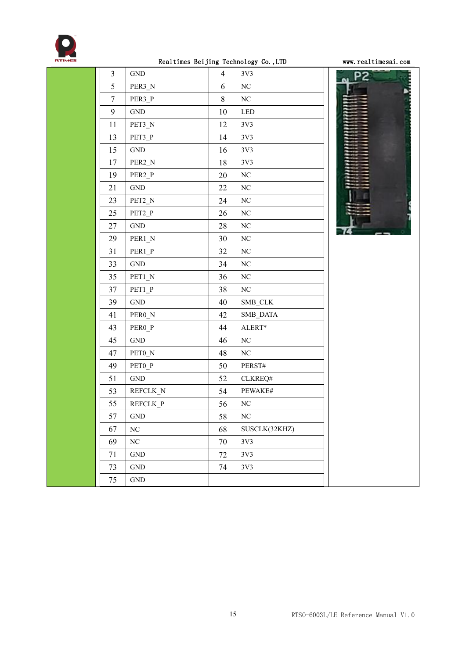

## Realtimes Beijing Technology Co., LTD www.realtimesai.com

| 3                | $\operatorname{GND}$ | 4  | 3V3                         | P <sub>2</sub> |
|------------------|----------------------|----|-----------------------------|----------------|
| 5                | PER3 N               | 6  | $\rm NC$                    |                |
| $\boldsymbol{7}$ | PER3_P               | 8  | $\rm NC$                    |                |
| 9                | $\operatorname{GND}$ | 10 | $\ensuremath{\mathsf{LED}}$ |                |
| 11               | PET3_N               | 12 | 3V3                         |                |
| 13               | PET3_P               | 14 | 3V3                         |                |
| 15               | $\operatorname{GND}$ | 16 | 3V3                         |                |
| 17               | PER2 N               | 18 | 3V3                         |                |
| 19               | PER <sub>2_P</sub>   | 20 | $\rm NC$                    |                |
| 21               | $\operatorname{GND}$ | 22 | $\rm NC$                    |                |
| 23               | PET2 N               | 24 | $\rm NC$                    |                |
| 25               | PET2_P               | 26 | $\rm NC$                    |                |
| 27               | $\operatorname{GND}$ | 28 | $\rm NC$                    |                |
| 29               | PER1_N               | 30 | $\rm NC$                    |                |
| 31               | PER1 P               | 32 | $\rm NC$                    |                |
| 33               | $\operatorname{GND}$ | 34 | $\rm NC$                    |                |
| 35               | PET1_N               | 36 | $\rm NC$                    |                |
| 37               | PET1_P               | 38 | $\rm NC$                    |                |
| 39               | $\operatorname{GND}$ | 40 | SMB_CLK                     |                |
| 41               | PERO_N               | 42 | SMB_DATA                    |                |
| 43               | PERO_P               | 44 | ALERT*                      |                |
| 45               | $\operatorname{GND}$ | 46 | NC                          |                |
| 47               | PETO_N               | 48 | $\rm NC$                    |                |
| 49               | PET <sub>0_P</sub>   | 50 | PERST#                      |                |
| 51               | $\operatorname{GND}$ | 52 | CLKREQ#                     |                |
| 53               | REFCLK_N             | 54 | PEWAKE#                     |                |
| 55               | REFCLK P             | 56 | $\rm NC$                    |                |
| 57               | <b>GND</b>           | 58 | $\rm NC$                    |                |
| 67               | NC                   | 68 | SUSCLK(32KHZ)               |                |
| 69               | $\rm NC$             | 70 | 3V3                         |                |
| 71               | $\operatorname{GND}$ | 72 | 3V3                         |                |
| 73               | <b>GND</b>           | 74 | 3V3                         |                |
| 75               | $\operatorname{GND}$ |    |                             |                |

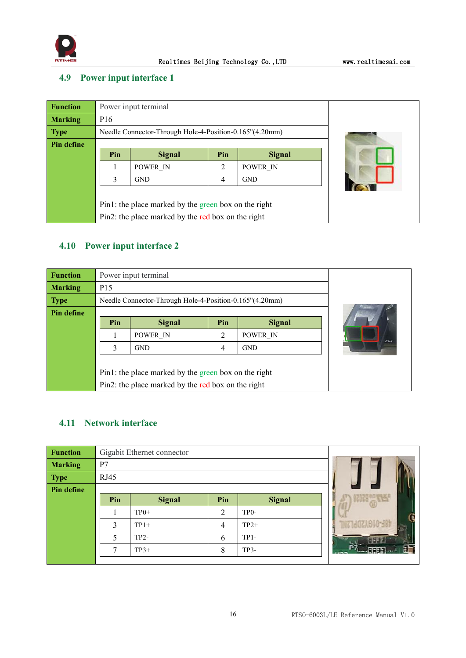

## <span id="page-16-0"></span>**4.9 Power input interface 1**

| <b>Function</b> |                 | Power input terminal                                    |     |               |  |  |  |
|-----------------|-----------------|---------------------------------------------------------|-----|---------------|--|--|--|
| <b>Marking</b>  | P <sub>16</sub> |                                                         |     |               |  |  |  |
| <b>Type</b>     |                 | Needle Connector-Through Hole-4-Position-0.165"(4.20mm) |     |               |  |  |  |
| Pin define      |                 |                                                         |     |               |  |  |  |
|                 | Pin             | <b>Signal</b>                                           | Pin | <b>Signal</b> |  |  |  |
|                 |                 | POWER IN                                                | 2   | POWER IN      |  |  |  |
|                 | 3               | <b>GND</b>                                              | 4   | <b>GND</b>    |  |  |  |
|                 |                 |                                                         |     |               |  |  |  |
|                 |                 | Pin1: the place marked by the green box on the right    |     |               |  |  |  |
|                 |                 | Pin2: the place marked by the red box on the right      |     |               |  |  |  |

## <span id="page-16-1"></span>**4.10 Power input interface 2**

| <b>Function</b> |                 | Power input terminal                                    |     |               |          |  |  |
|-----------------|-----------------|---------------------------------------------------------|-----|---------------|----------|--|--|
| <b>Marking</b>  | P <sub>15</sub> |                                                         |     |               |          |  |  |
| <b>Type</b>     |                 | Needle Connector-Through Hole-4-Position-0.165"(4.20mm) |     |               |          |  |  |
| Pin define      |                 |                                                         |     |               |          |  |  |
|                 | Pin             | <b>Signal</b>                                           | Pin | <b>Signal</b> |          |  |  |
|                 |                 | POWER IN                                                | 2   | POWER IN      | $z_{1d}$ |  |  |
|                 | 3               | <b>GND</b>                                              | 4   | <b>GND</b>    |          |  |  |
|                 |                 |                                                         |     |               |          |  |  |
|                 |                 | Pin1: the place marked by the green box on the right    |     |               |          |  |  |
|                 |                 | Pin2: the place marked by the red box on the right      |     |               |          |  |  |

## <span id="page-16-2"></span>**4.11 Network interface**

| <b>Function</b> |              | Gigabit Ethernet connector |                |                   |  |  |  |  |
|-----------------|--------------|----------------------------|----------------|-------------------|--|--|--|--|
| <b>Marking</b>  | P7           |                            |                |                   |  |  |  |  |
| <b>Type</b>     | RJ45         |                            |                |                   |  |  |  |  |
| Pin define      |              |                            |                |                   |  |  |  |  |
|                 | Pin          | <b>Signal</b>              | Pin            | <b>Signal</b>     |  |  |  |  |
|                 |              | $TP0+$                     | $\overline{2}$ | TP <sub>0</sub> - |  |  |  |  |
|                 | 3            | $TP1+$                     | $\overline{4}$ | $TP2+$            |  |  |  |  |
|                 | 5            | $TP2-$                     | 6              | $TP1-$            |  |  |  |  |
|                 | $\mathbf{r}$ | $TP3+$                     | 8              | TP3-              |  |  |  |  |
|                 |              |                            |                |                   |  |  |  |  |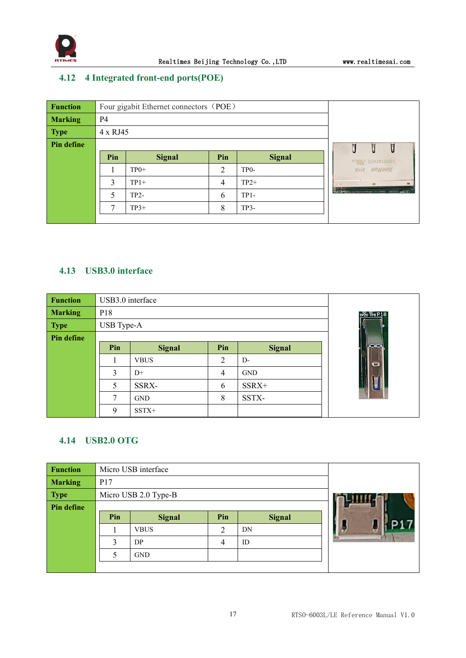

## <span id="page-17-0"></span>**4.12 4 Integrated front-end ports(POE)**

| <b>Function</b> |           | Four gigabit Ethernet connectors (POE) |     |                   |  |                                  |  |
|-----------------|-----------|----------------------------------------|-----|-------------------|--|----------------------------------|--|
| <b>Marking</b>  | <b>P4</b> |                                        |     |                   |  |                                  |  |
| <b>Type</b>     |           | 4 x RJ45                               |     |                   |  |                                  |  |
| Pin define      |           | Ţ                                      |     |                   |  |                                  |  |
|                 | Pin       | <b>Signal</b>                          | Pin | <b>Signal</b>     |  | HR931474CE PAR                   |  |
|                 |           | $TP0+$                                 | 2   | TP <sub>0</sub> - |  | <b>SITE</b> <i><b>NUMMEN</b></i> |  |
|                 | 3         | $TP1+$                                 | 4   | $TP2+$            |  | <b>WE</b><br><b>Film</b>         |  |
|                 |           | $TP2-$                                 | 6   | $TP1-$            |  | COUNTRY REPORT OF THE THEFT.     |  |
|                 | ⇁         | $TP3+$                                 | 8   | $TP3-$            |  |                                  |  |
|                 |           |                                        |     |                   |  |                                  |  |

## <span id="page-17-1"></span>**4.13 USB3.0 interface**

| <b>Function</b>   | USB3.0 interface |               |                |               |              |
|-------------------|------------------|---------------|----------------|---------------|--------------|
| <b>Marking</b>    | P <sub>18</sub>  |               |                |               | TP20 TP8 P18 |
| <b>Type</b>       | USB Type-A       |               |                |               |              |
| <b>Pin define</b> |                  |               |                |               |              |
|                   | Pin              | <b>Signal</b> | Pin            | <b>Signal</b> |              |
|                   |                  | <b>VBUS</b>   | $\overline{2}$ | $D-$          |              |
|                   | 3                | $D+$          | $\overline{4}$ | <b>GND</b>    |              |
|                   | 5                | SSRX-         | 6              | SSRX+         |              |
|                   | 7                | <b>GND</b>    | 8              | SSTX-         |              |
|                   | 9                | $SSTX+$       |                |               |              |

## <span id="page-17-2"></span>**4.14 USB2.0 OTG**

| <b>Function</b> |     | Micro USB interface  |                |               |  |  |  |
|-----------------|-----|----------------------|----------------|---------------|--|--|--|
| <b>Marking</b>  | P17 |                      |                |               |  |  |  |
| <b>Type</b>     |     | Micro USB 2.0 Type-B |                |               |  |  |  |
| Pin define      |     |                      |                |               |  |  |  |
|                 | Pin | <b>Signal</b>        | Pin            | <b>Signal</b> |  |  |  |
|                 |     | <b>VBUS</b>          | $\overline{2}$ | DN            |  |  |  |
|                 | 3   | DP                   | 4              | ID            |  |  |  |
|                 | 5   | <b>GND</b>           |                |               |  |  |  |
|                 |     |                      |                |               |  |  |  |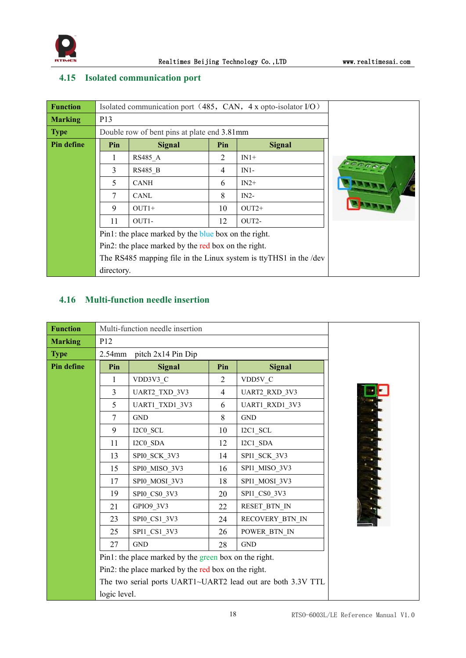

## <span id="page-18-0"></span>**4.15 Isolated communication port**

| <b>Function</b>   |            |                                                      |     | Isolated communication port (485, CAN, 4 x opto-isolator I/O)     |  |  |  |  |
|-------------------|------------|------------------------------------------------------|-----|-------------------------------------------------------------------|--|--|--|--|
| <b>Marking</b>    | P13        |                                                      |     |                                                                   |  |  |  |  |
| <b>Type</b>       |            | Double row of bent pins at plate end 3.81mm          |     |                                                                   |  |  |  |  |
| <b>Pin define</b> | Pin        | <b>Signal</b>                                        | Pin | <b>Signal</b>                                                     |  |  |  |  |
|                   |            | RS485 A                                              | 2   | $IN1+$                                                            |  |  |  |  |
|                   | 3          | <b>RS485 B</b>                                       | 4   | $IN1-$                                                            |  |  |  |  |
|                   | 5          | <b>CANH</b>                                          | 6   | $IN2+$                                                            |  |  |  |  |
|                   | 7          | CANL                                                 | 8   | $IN2-$                                                            |  |  |  |  |
|                   | 9          | $OUT1+$                                              | 10  | $OUT2+$                                                           |  |  |  |  |
|                   | 11         | OUT <sub>1</sub> -                                   | 12  | OUT2-                                                             |  |  |  |  |
|                   |            | Pin1: the place marked by the blue box on the right. |     |                                                                   |  |  |  |  |
|                   |            | Pin2: the place marked by the red box on the right.  |     |                                                                   |  |  |  |  |
|                   |            |                                                      |     | The RS485 mapping file in the Linux system is ttyTHS1 in the /dev |  |  |  |  |
|                   | directory. |                                                      |     |                                                                   |  |  |  |  |

## <span id="page-18-1"></span>**4.16 Multi-function needle insertion**

| <b>Function</b>   |                | Multi-function needle insertion                       |                |                                                             |  |  |  |  |
|-------------------|----------------|-------------------------------------------------------|----------------|-------------------------------------------------------------|--|--|--|--|
| <b>Marking</b>    | P12            |                                                       |                |                                                             |  |  |  |  |
| <b>Type</b>       | $2.54$ mm      | pitch 2x14 Pin Dip                                    |                |                                                             |  |  |  |  |
| <b>Pin define</b> | Pin            | <b>Signal</b>                                         | Pin            | <b>Signal</b>                                               |  |  |  |  |
|                   | 1              | VDD3V3 C                                              | $\overline{2}$ | VDD5V C                                                     |  |  |  |  |
|                   | $\overline{3}$ | UART2_TXD_3V3                                         | 4              | UART2_RXD_3V3                                               |  |  |  |  |
|                   | 5              | UART1_TXD1_3V3                                        | 6              | UART1_RXD1_3V3                                              |  |  |  |  |
|                   | 7              | <b>GND</b>                                            | 8              | <b>GND</b>                                                  |  |  |  |  |
|                   | 9              | I2C0 SCL                                              | 10             | $I2C1$ <sub>_</sub> SCL                                     |  |  |  |  |
|                   | 11             | I2C0_SDA                                              | 12             | $I2C1$ <sub>_</sub> SDA                                     |  |  |  |  |
|                   | 13             | SPI0_SCK_3V3                                          | 14             | SPI1_SCK_3V3                                                |  |  |  |  |
|                   | 15             | SPI0 MISO 3V3                                         | 16             | SPI1_MISO_3V3                                               |  |  |  |  |
|                   | 17             | SPI0 MOSI 3V3                                         | 18             | SPI1_MOSI_3V3                                               |  |  |  |  |
|                   | 19             | SPIO CSO 3V3                                          | 20             | SPI1_CS0_3V3                                                |  |  |  |  |
|                   | 21             | GPIO9_3V3                                             | 22             | RESET BTN IN                                                |  |  |  |  |
|                   | 23             | SPI0_CS1_3V3                                          | 24             | RECOVERY_BTN_IN                                             |  |  |  |  |
|                   | 25             | SPI1 CS1 3V3                                          | 26             | POWER_BTN_IN                                                |  |  |  |  |
|                   | 27             | <b>GND</b>                                            | 28             | <b>GND</b>                                                  |  |  |  |  |
|                   |                | Pin1: the place marked by the green box on the right. |                |                                                             |  |  |  |  |
|                   |                | Pin2: the place marked by the red box on the right.   |                |                                                             |  |  |  |  |
|                   |                |                                                       |                | The two serial ports UART1~UART2 lead out are both 3.3V TTL |  |  |  |  |
|                   | logic level.   |                                                       |                |                                                             |  |  |  |  |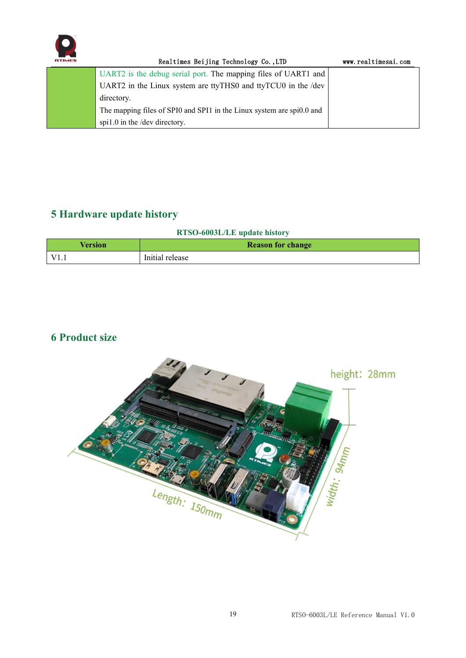

| RTIMES | Realtimes Beijing Technology Co., LTD                                 | www.realtimesai.com |
|--------|-----------------------------------------------------------------------|---------------------|
|        | UART2 is the debug serial port. The mapping files of UART1 and        |                     |
|        | UART2 in the Linux system are ttyTHS0 and ttyTCU0 in the /dev         |                     |
|        | directory.                                                            |                     |
|        | The mapping files of SPI0 and SPI1 in the Linux system are spi0.0 and |                     |
|        | spi1.0 in the /dev directory.                                         |                     |

## <span id="page-19-0"></span>**5 Hardware update history**

## **RTSO-6003L/LE update history**

| <b>Version</b> | <b>Reason for change</b> |  |  |
|----------------|--------------------------|--|--|
| $\sqrt{71}$    | Initial release          |  |  |

## <span id="page-19-1"></span>**6 Product size**

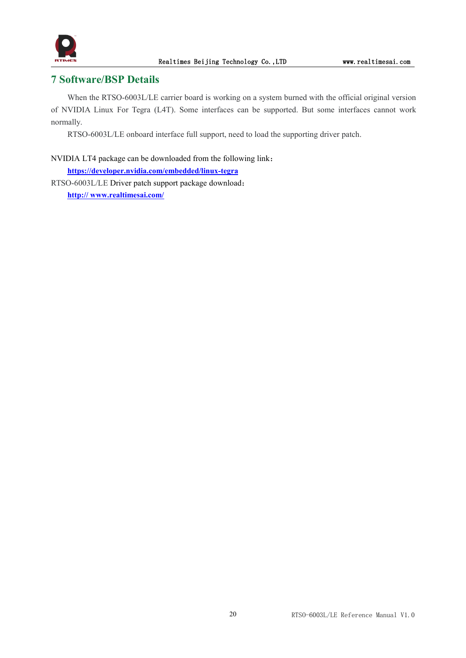

## <span id="page-20-0"></span>**7 Software/BSP Details**

When the RTSO-6003L/LE carrier board is working on a system burned with the official original version of NVIDIA Linux For Tegra (L4T). Some interfaces can be supported. But some interfaces cannot work normally.

RTSO-6003L/LE onboard interface full support, need to load the supporting driver patch.

## NVIDIA LT4 package can be downloaded from the following link:

**<https://developer.nvidia.com/embedded/linux-tegra>** RTSO-6003L/LE Driver patch support package download: **http:// [www.realtimesai.com/](https://www.realtimesai.com/en/software.html)**